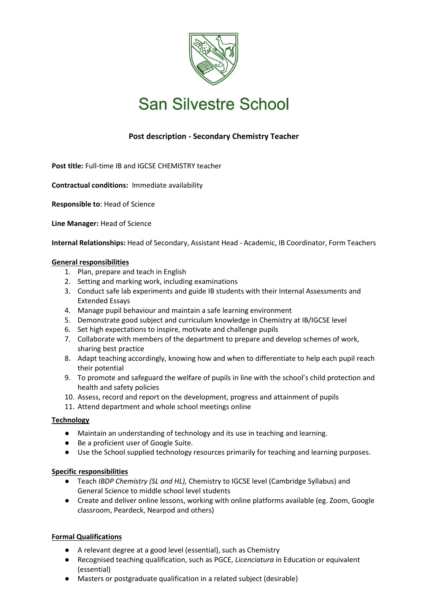

# **San Silvestre School**

# **Post description - Secondary Chemistry Teacher**

**Post title:** Full-time IB and IGCSE CHEMISTRY teacher

**Contractual conditions:** Immediate availability

**Responsible to**: Head of Science

**Line Manager:** Head of Science

**Internal Relationships:** Head of Secondary, Assistant Head - Academic, IB Coordinator, Form Teachers

## **General responsibilities**

- 1. Plan, prepare and teach in English
- 2. Setting and marking work, including examinations
- 3. Conduct safe lab experiments and guide IB students with their Internal Assessments and Extended Essays
- 4. Manage pupil behaviour and maintain a safe learning environment
- 5. Demonstrate good subject and curriculum knowledge in Chemistry at IB/IGCSE level
- 6. Set high expectations to inspire, motivate and challenge pupils
- 7. Collaborate with members of the department to prepare and develop schemes of work, sharing best practice
- 8. Adapt teaching accordingly, knowing how and when to differentiate to help each pupil reach their potential
- 9. To promote and safeguard the welfare of pupils in line with the school's child protection and health and safety policies
- 10. Assess, record and report on the development, progress and attainment of pupils
- 11. Attend department and whole school meetings online

#### **Technology**

- Maintain an understanding of technology and its use in teaching and learning.
- Be a proficient user of Google Suite.
- Use the School supplied technology resources primarily for teaching and learning purposes.

#### **Specific responsibilities**

- Teach *IBDP Chemistry (SL and HL),* Chemistry to IGCSE level (Cambridge Syllabus) and General Science to middle school level students
- Create and deliver online lessons, working with online platforms available (eg. Zoom, Google classroom, Peardeck, Nearpod and others)

# **Formal Qualifications**

- A relevant degree at a good level (essential), such as Chemistry
- Recognised teaching qualification, such as PGCE, *Licenciatura* in Education or equivalent (essential)
- Masters or postgraduate qualification in a related subject (desirable)